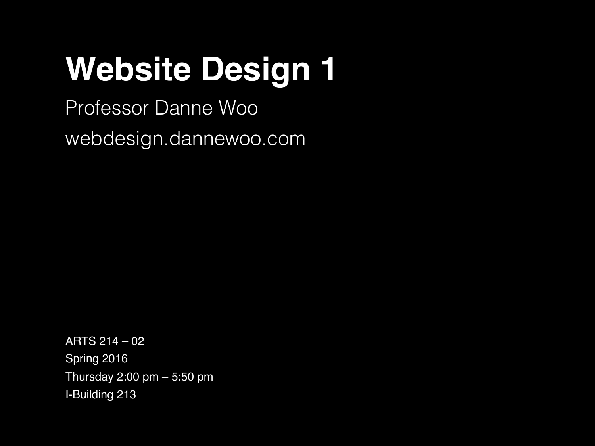# **Website Design 1**

Professor Danne Woo webdesign.dannewoo.com

ΑRTS 214 – 02 Spring 2016 Thursday 2:00 pm – 5:50 pm I-Building 213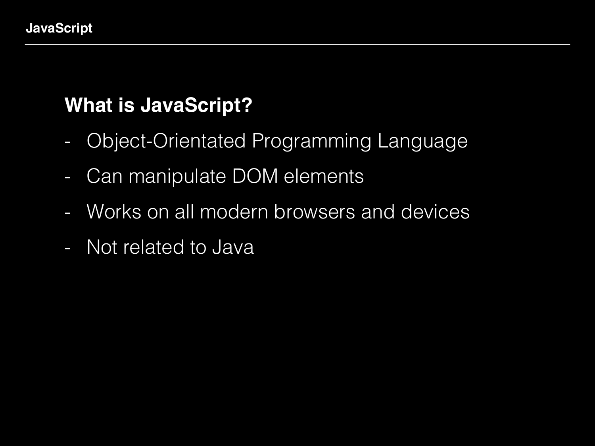# **What is JavaScript?**

- Object-Orientated Programming Language
- Can manipulate DOM elements
- Works on all modern browsers and devices
- Not related to Java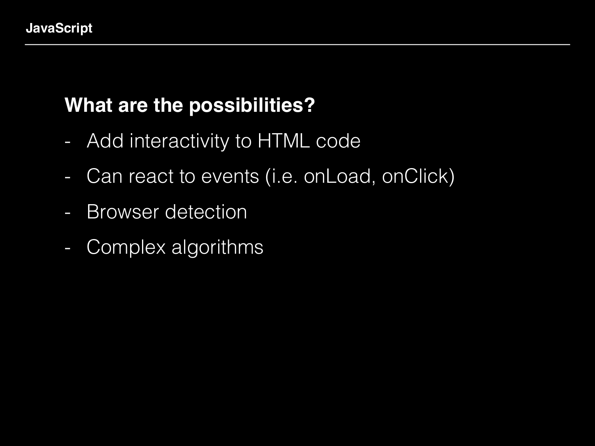## **What are the possibilities?**

- Add interactivity to HTML code
- Can react to events (i.e. onLoad, onClick)
- Browser detection
- Complex algorithms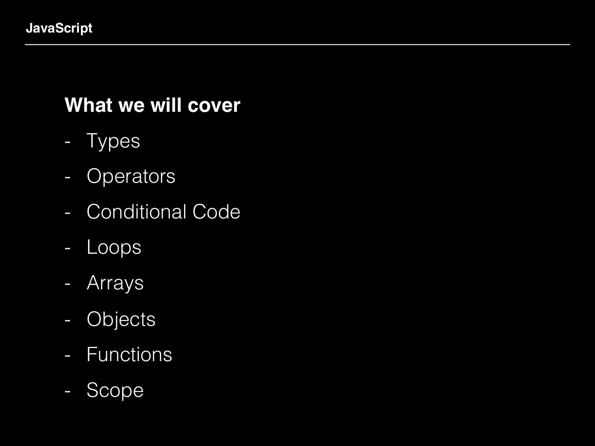### **What we will cover**

- Types
- Operators
- Conditional Code
- Loops
- Arrays
- Objects
- Functions
- Scope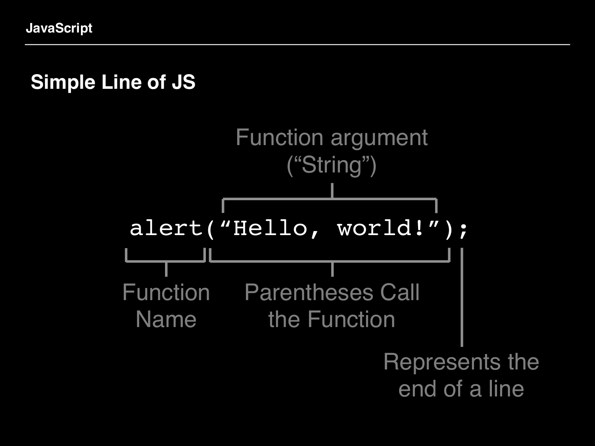### **Simple Line of JS**

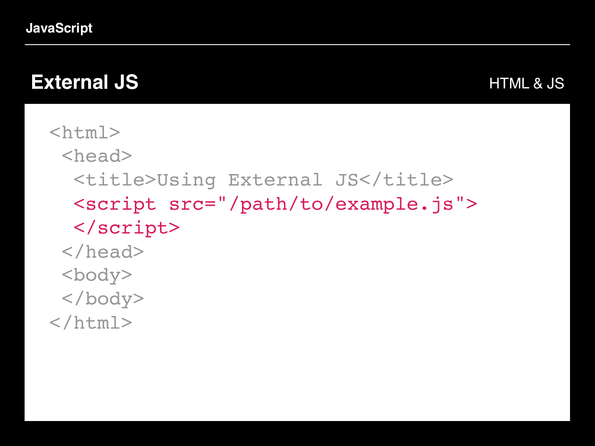**JavaScript**

#### **External JS**

```
HTML & JS
```

```
<html> <head>
  <title>Using External JS</title>
   <script src="/path/to/example.js">
   </script>
  </head>
 <body>
  </body>
</html>
```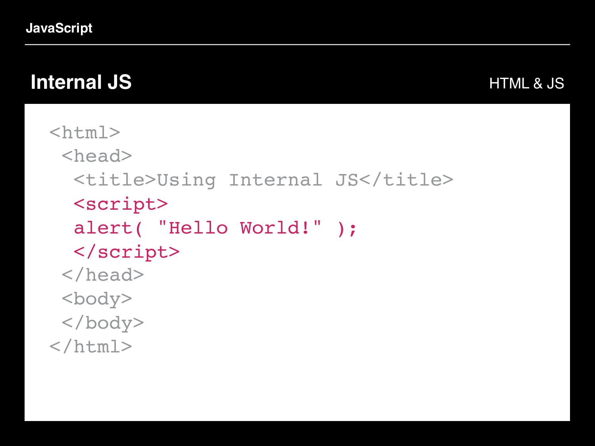**JavaScript**

# **Internal JS**

#### HTML & JS

```
<html> <head>
  <title>Using Internal JS</title>
   <script> 
   alert( "Hello World!" ); 
   </script>
  </head>
  <body>
  </body>
</html>
```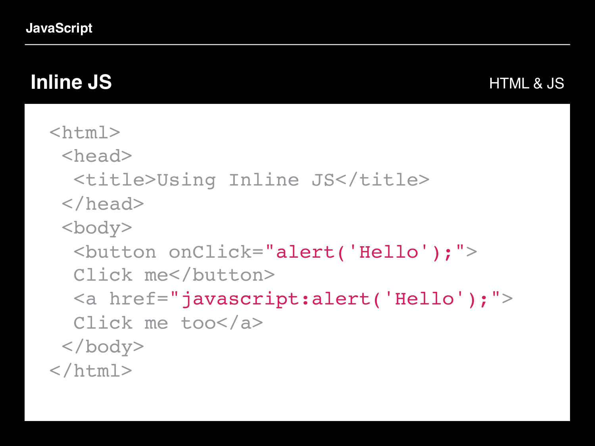# **Inline JS**

```
<html>
  <head>
  <title>Using Inline JS</title>
  </head>
  <body>
   <button onClick="alert('Hello');">
  Click me</button>
 <a href=
"javascript:alert('Hello');">
   Click me too</a>
  </body>
</html>
```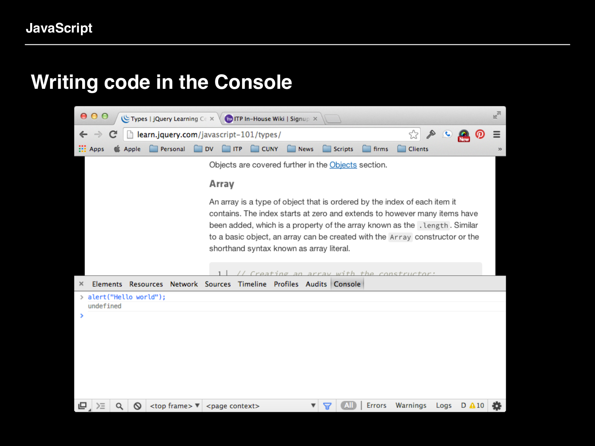#### **Writing code in the Console**

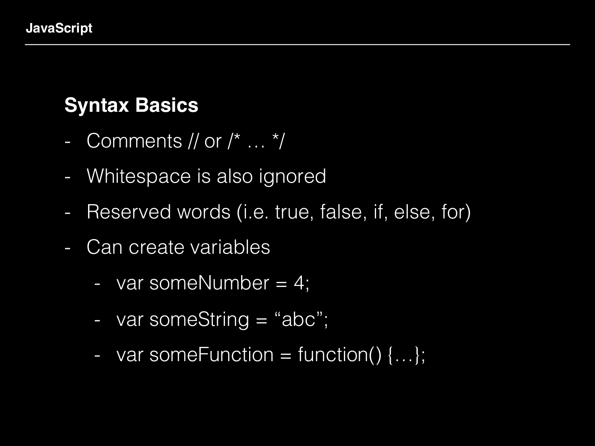# **Syntax Basics**

- Comments // or /\* … \*/
- Whitespace is also ignored
- Reserved words (i.e. true, false, if, else, for)
- Can create variables
	- var someNumber = 4;
	- var someString = "abc";
	- var some Function = function()  $\{...\}$ ;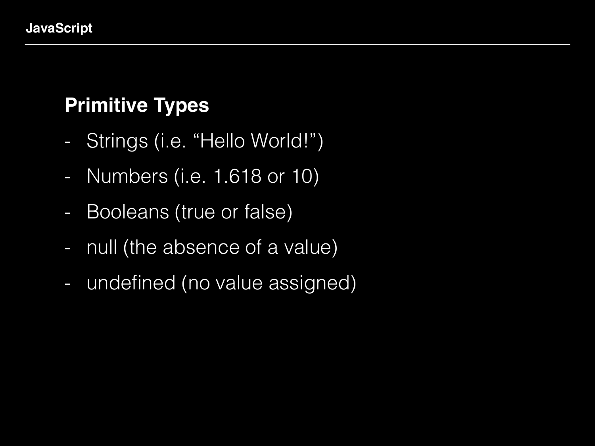# **Primitive Types**

- Strings (i.e. "Hello World!")
- Numbers (i.e. 1.618 or 10)
- Booleans (true or false)
- null (the absence of a value)
- undefined (no value assigned)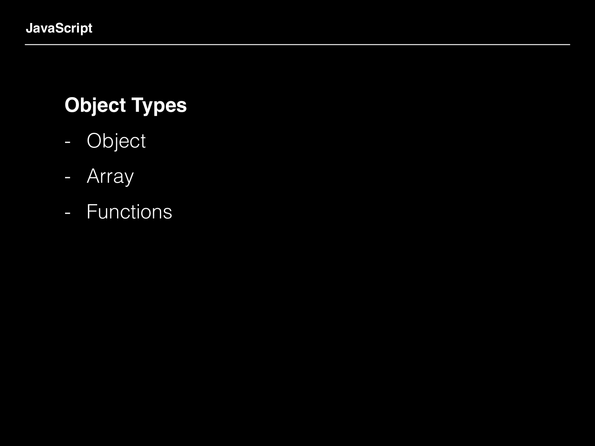# **Object Types**

- Object
- Array
- Functions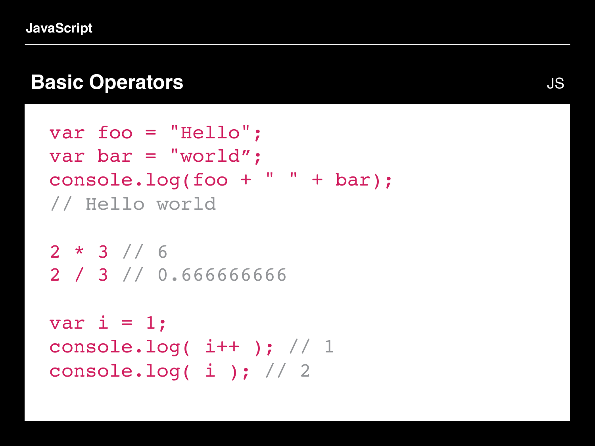#### **Basic Operators**

```
var foo = "Hello";
var bar = "world";
console.log(foo + " " + bar); 
// Hello world
```

```
2 * 3 // 62 / 3 // 0.666666666
```

```
var i = 1;
console.log(i++); // 1
console.log( i ); // 2
```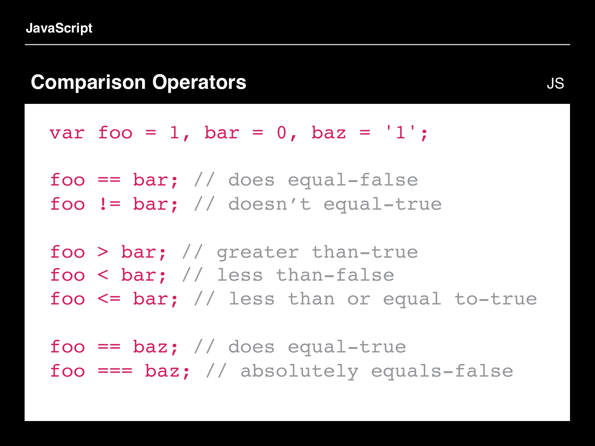#### **Comparison Operators**

var foo = 1, bar = 0, baz =  $'1'$ ;

 $foo == bar; // does equal-false$ foo != bar; // doesn't equal-true

```
foo > bar; // greater than-true
foo < bar; // less than-false
foo <= bar; // less than or equal to-true
```
foo ==  $\texttt{baz}$ ; // does equal-true foo  $==$  baz; // absolutely equals-false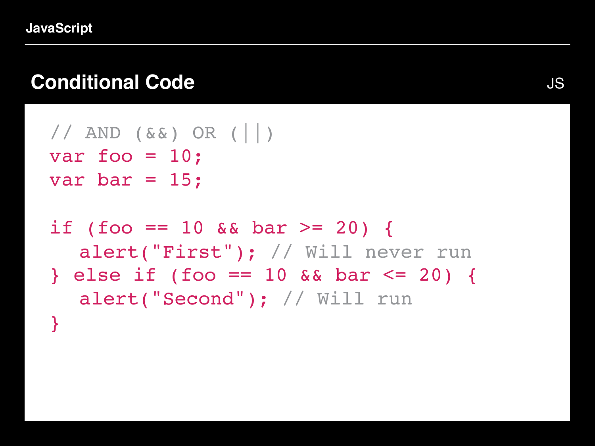# **Conditional Code**

```
\frac{1}{2} AND ( \&\& ) OR ( | | )
var foo = 10;
var bar = 15;
```

```
if (foo == 10 && bar >= 20) {
  alert("First"); // Will never run
} else if (foo == 10 && bar <= 20) {
  alert("Second"); // Will run
}
```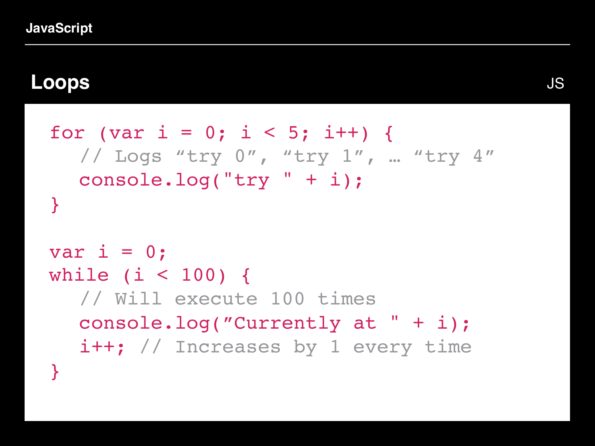#### **Loops**

```
for (var i = 0; i < 5; i++) {
  // Logs "try 0", "try 1", … "try 4"
  console.log("try " + i);
}
```

```
var i = 0;
while (i < 100) {
  // Will execute 100 times
  console.log("Currently at " + i);
  i++; // Increases by 1 every time
}
```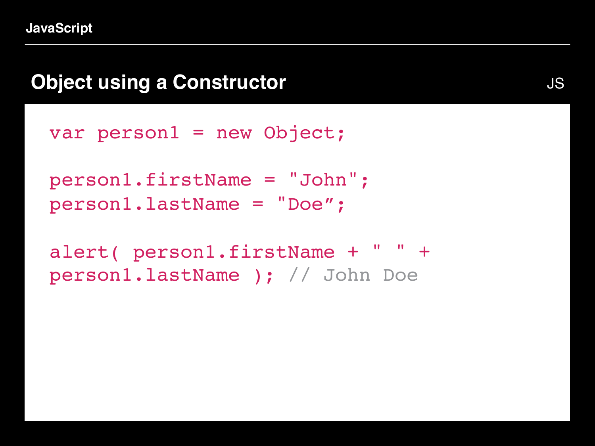#### **Object using a Constructor**

var person1 = new Object;

person1.firstName = "John"; person1.lastName = "Doe";

alert( person1.firstName + " " + person1.lastName ); // John Doe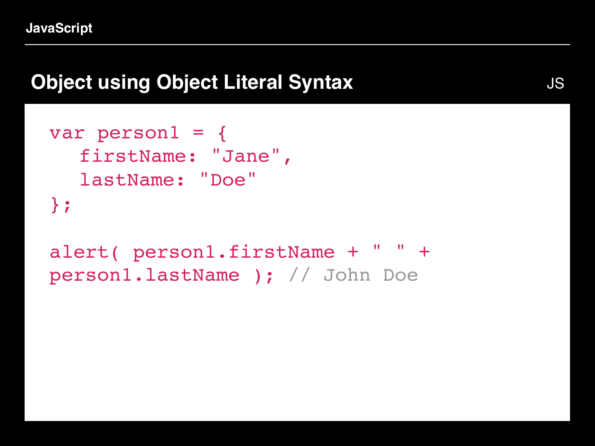# **Object using Object Literal Syntax**

```
var person1 = \{firstName: "Jane", 
  lastName: "Doe" 
};
```
alert( person1.firstName + " " + person1.lastName ); // John Doe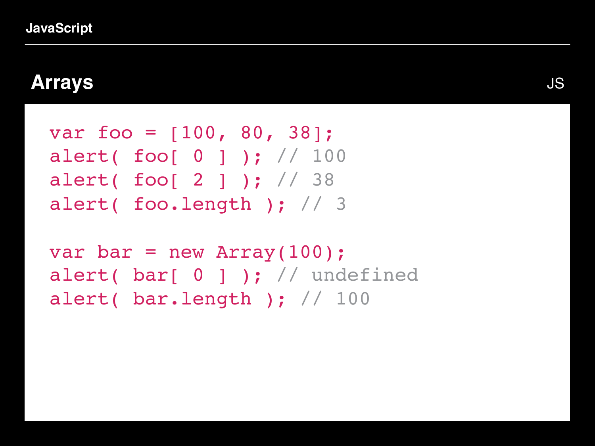#### **Arrays**

```
var foo = [100, 80, 38];
alert( foo[ 0 ] ); // 100alert( foo[ 2 ] ); // 38
alert( foo.length ); // 3
```

```
var bar = new Array(100);
alert( bar[ 0 ] ); // undefined
alert( bar.length ); // 100
```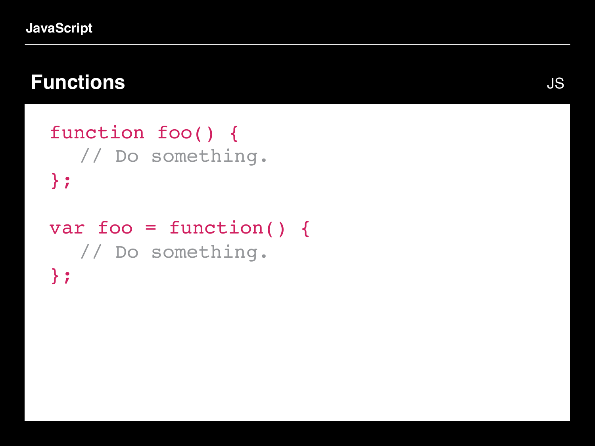# **Functions**

```
function foo() {
  // Do something.
};
var foo = function() {
  // Do something.
};
```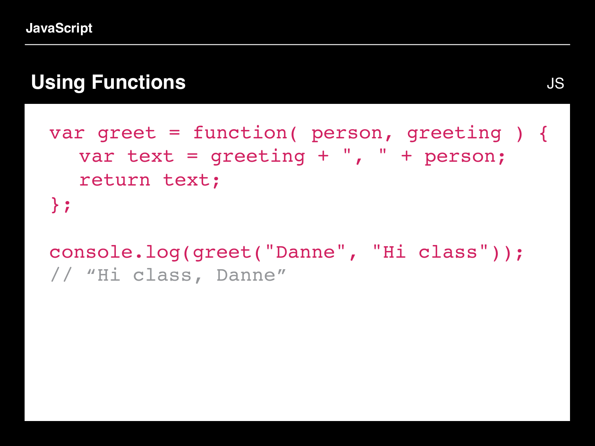# **Using Functions**

```
var greet = function( person, greeting ) {
  var text = \alpha qreeting + ", " + person;
  return text;
};
```
console.log(greet("Danne", "Hi class")); // "Hi class, Danne"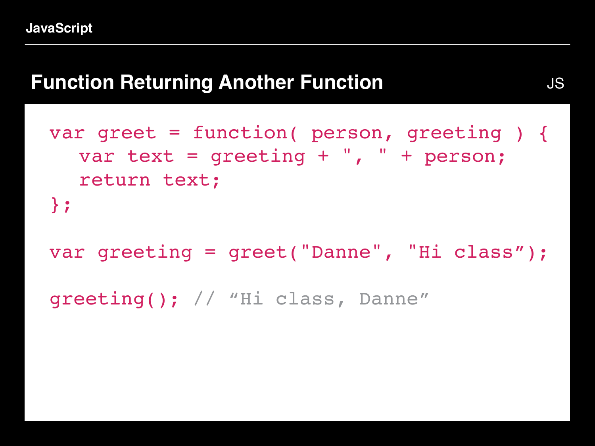#### **Function Returning Another Function**

```
var greet = function( person, greeting ) {
  var text = \alpha qreeting + ", " + person;
  return text;
};
```

```
var greeting = greet("Danne", "Hi class");
```

```
greeting(); // "Hi class, Danne"
```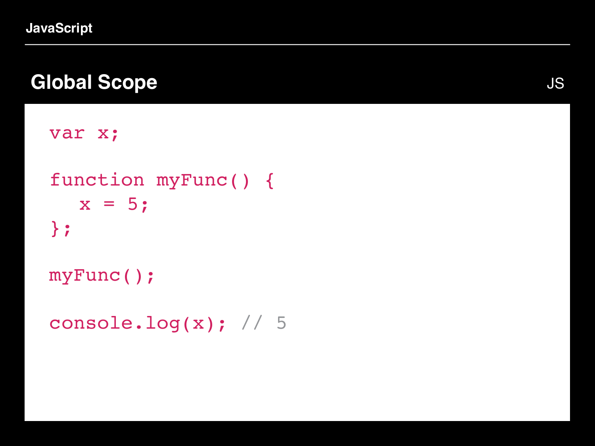### **Global Scope**

```
var x;
function myFunc() {
  x = 5;};
myFunc();
console.log(x); // 5
```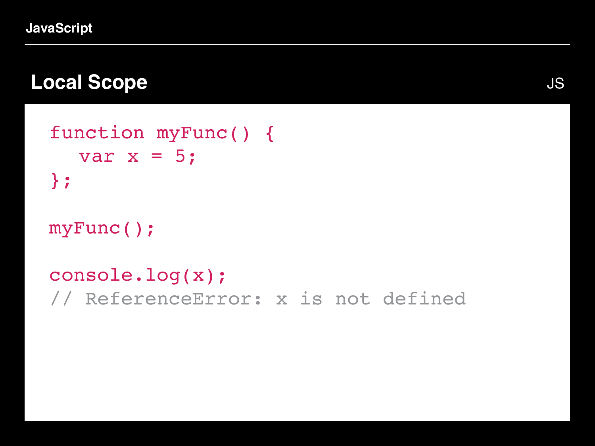**JavaScript**

#### **Local Scope**

```
function myFunc() {
  var x = 5;
};
```

```
myFunc();
```
console.log(x); // ReferenceError: x is not defined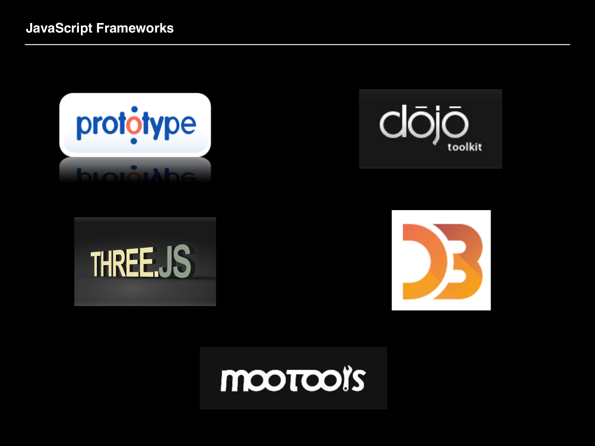







# mootooi's